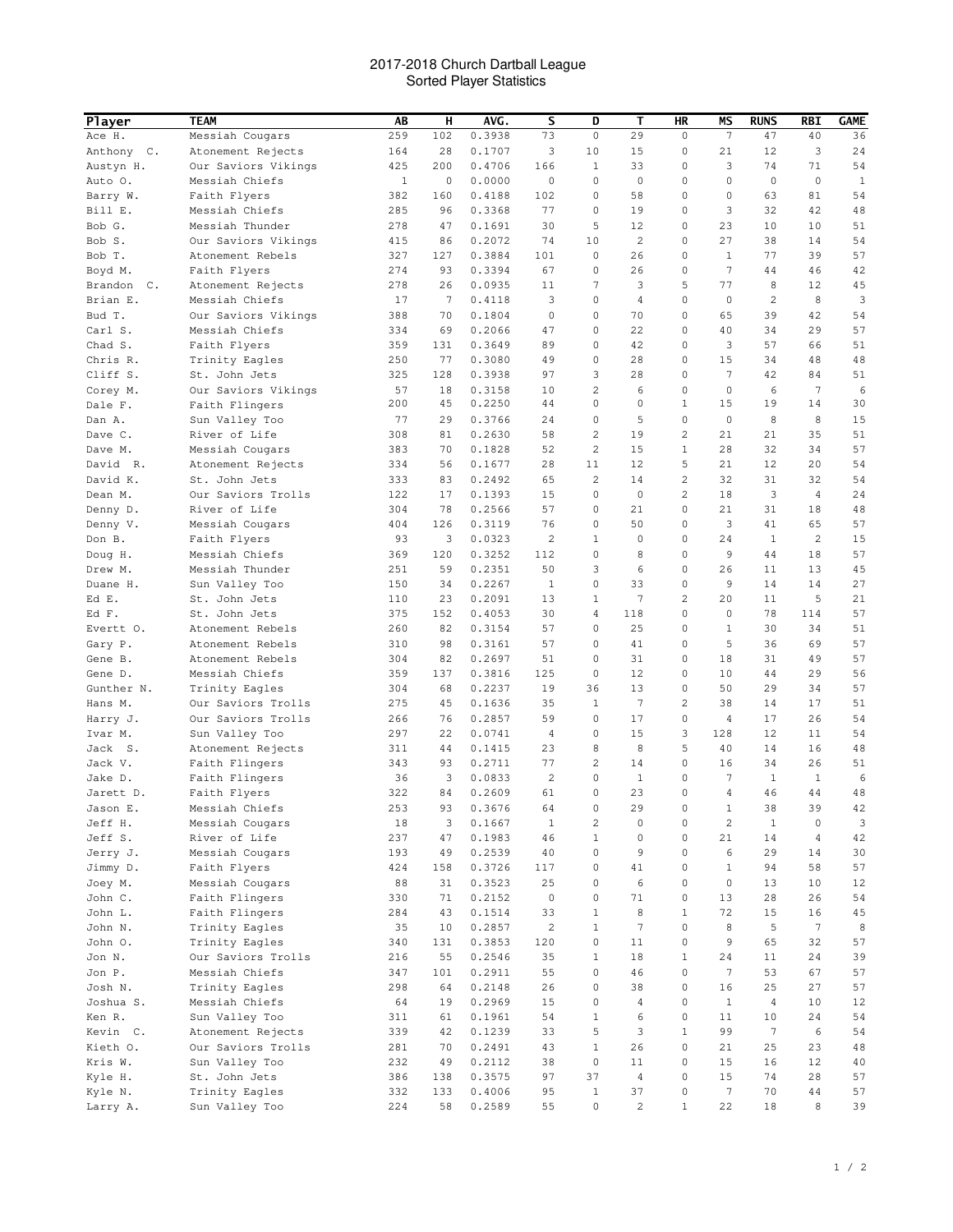## 2017-2018 Church Dartball League Sorted Player Statistics

| <b>Player</b>     | <b>TEAM</b>                    | AB           | н        | AVG.             | s                       | D                       | Т              | HR               | ΜS                  | <b>RUNS</b>     | RBI             | <b>GAME</b>  |
|-------------------|--------------------------------|--------------|----------|------------------|-------------------------|-------------------------|----------------|------------------|---------------------|-----------------|-----------------|--------------|
| Ace H.            | Messiah Cougars                | 259          | 102      | 0.3938           | 73                      | $\mathbf 0$             | 29             | $\mathbf 0$      | 7                   | 47              | 40              | 36           |
| Anthony C.        | Atonement Rejects              | 164          | 28       | 0.1707           | 3                       | 10                      | 15             | 0                | 21                  | 12              | 3               | 24           |
| Austyn H.         | Our Saviors Vikings            | 425          | 200      | 0.4706           | 166                     | 1                       | 33             | 0                | 3                   | 74              | 71              | 54           |
| Auto O.           | Messiah Chiefs                 | $\mathbf{1}$ | 0        | 0.0000           | 0                       | $\circ$                 | 0              | $\mathbf 0$      | $\mathbf 0$         | $\mathbf 0$     | $\mathbf 0$     | $\mathbf{1}$ |
| Barry W.          | Faith Flyers                   | 382          | 160      | 0.4188           | 102                     | 0                       | 58             | $\mathbf 0$      | 0                   | 63              | 81              | 54           |
| Bill E.           | Messiah Chiefs                 | 285          | 96       | 0.3368           | 77                      | 0                       | 19             | 0                | 3                   | 32              | 42              | 48           |
| Bob G.            | Messiah Thunder                | 278          | 47       | 0.1691           | 30                      | 5                       | 12             | 0                | 23                  | 10              | 10              | 51           |
| Bob S.            | Our Saviors Vikings            | 415          | 86       | 0.2072           | 74                      | 10                      | 2              | 0                | 27                  | 38              | 14              | 54           |
| Bob T.            | Atonement Rebels               | 327          | 127      | 0.3884           | 101                     | $\circ$                 | 26             | 0                | $\mathbf{1}$        | 77              | 39              | 57           |
| Boyd M.           | Faith Flyers                   | 274          | 93       | 0.3394           | 67                      | 0                       | 26             | 0                | 7                   | 44              | 46              | 42           |
| Brandon C.        | Atonement Rejects              | 278          | 26       | 0.0935           | 11                      | $\overline{7}$          | 3              | 5                | 77                  | 8               | 12              | 45           |
| Brian E.          | Messiah Chiefs                 | 17           | 7        | 0.4118           | 3                       | 0                       | 4              | $\mathbf 0$      | $\mathbf 0$         | 2               | 8               | 3            |
| Bud T.            | Our Saviors Vikings            | 388          | 70       | 0.1804           | 0                       | 0                       | 70             | 0                | 65                  | 39              | 42              | 54           |
| Carl S.           | Messiah Chiefs                 | 334          | 69       | 0.2066           | 47                      | 0                       | 22             | $\mathbf 0$      | 40                  | 34              | 29              | 57           |
| Chad S.           | Faith Flyers                   | 359          | 131      | 0.3649           | 89                      | 0                       | 42             | 0                | 3                   | 57              | 66              | 51           |
| Chris R.          | Trinity Eagles                 | 250          | 77       | 0.3080           | 49                      | 0                       | 28             | 0                | 15                  | 34              | 48              | 48           |
| Cliff S.          | St. John Jets                  | 325          | 128      | 0.3938           | 97                      | 3                       | 28             | 0                | 7                   | 42              | 84              | 51           |
| Corey M.          | Our Saviors Vikings            | 57           | 18       | 0.3158           | 10                      | $\overline{\mathbf{c}}$ | 6              | 0                | 0                   | 6               | 7               | 6            |
| Dale F.           | Faith Flingers                 | 200          | 45       | 0.2250           | 44                      | $\mathbf 0$             | 0              | $\mathbf{1}$     | 15                  | 19              | 14              | 30           |
| Dan A.            | Sun Valley Too                 | 77           | 29       | 0.3766           | 24                      | 0                       | 5              | $\mathbf 0$      | $\mathbf 0$         | 8               | 8               | 15           |
| Dave C.           | River of Life                  | 308          | 81       | 0.2630           | 58                      | $\overline{c}$          | 19             | 2                | 21                  | 21              | 35              | 51           |
| Dave M.           | Messiah Cougars                | 383          | 70       | 0.1828           | 52                      | $\overline{c}$          | 15             | $\mathbf{1}$     | 28                  | 32              | 34              | 57           |
| David R.          | Atonement Rejects              | 334          | 56       | 0.1677           | 28                      | 11                      | 12             | 5                | 21                  | 12              | 20              | 54           |
| David K.          | St. John Jets                  | 333          | 83       | 0.2492           | 65                      | 2                       | 14             | $\overline{c}$   | 32                  | 31              | 32              | 54           |
| Dean M.           | Our Saviors Trolls             | 122          | 17       | 0.1393           | 15                      | 0                       | 0              | 2                | 18                  | 3               | 4               | 24           |
| Denny D.          | River of Life                  | 304          | 78       | 0.2566           | 57                      | 0                       | 21             | 0                | 21                  | 31              | 18              | 48           |
| Denny V.          | Messiah Cougars                | 404          | 126      | 0.3119           | 76                      | 0                       | 50             | 0                | 3                   | 41              | 65              | 57           |
| Don B.            | Faith Flyers                   | 93           | 3        | 0.0323           | $\overline{\mathbf{c}}$ | 1                       | $\mathbf{0}$   | 0                | 24                  | 1               | 2               | 15           |
| Doug H.           | Messiah Chiefs                 | 369          | 120      | 0.3252           | 112                     | $\circ$                 | 8              | 0                | 9                   | 44              | 18              | 57           |
| Drew M.           | Messiah Thunder                | 251          | 59<br>34 | 0.2351<br>0.2267 | 50                      | 3<br>$\mathbf 0$        | 6<br>33        | 0<br>$\mathbf 0$ | 26<br>9             | 11<br>14        | 13<br>14        | 45<br>27     |
| Duane H.<br>Ed E. | Sun Valley Too                 | 150          | 23       | 0.2091           | 1<br>13                 | 1                       | 7              | 2                | 20                  | 11              | 5               | 21           |
| Ed F.             | St. John Jets<br>St. John Jets | 110<br>375   | 152      | 0.4053           | 30                      | 4                       | 118            | 0                | 0                   | 78              | 114             | 57           |
| Evertt O.         | Atonement Rebels               | 260          | 82       | 0.3154           | 57                      | 0                       | 25             | $\mathbf 0$      | $\mathbf{1}$        | 30              | 34              | 51           |
| Gary P.           | Atonement Rebels               | 310          | 98       | 0.3161           | 57                      | 0                       | 41             | 0                | 5                   | 36              | 69              | 57           |
| Gene B.           | Atonement Rebels               | 304          | 82       | 0.2697           | 51                      | 0                       | 31             | 0                | 18                  | 31              | 49              | 57           |
| Gene D.           | Messiah Chiefs                 | 359          | 137      | 0.3816           | 125                     | 0                       | 12             | 0                | 10                  | 44              | 29              | 56           |
| Gunther N.        | Trinity Eagles                 | 304          | 68       | 0.2237           | 19                      | 36                      | 13             | 0                | 50                  | 29              | 34              | 57           |
| Hans M.           | Our Saviors Trolls             | 275          | 45       | 0.1636           | 35                      | 1                       | 7              | 2                | 38                  | 14              | 17              | 51           |
| Harry J.          | Our Saviors Trolls             | 266          | 76       | 0.2857           | 59                      | 0                       | 17             | 0                | 4                   | 17              | 26              | 54           |
| Ivar M.           | Sun Valley Too                 | 297          | 22       | 0.0741           | 4                       | 0                       | 15             | 3                | 128                 | 12              | 11              | 54           |
| Jack S.           | Atonement Rejects              | 311          | 44       | 0.1415           | 23                      | 8                       | 8              | 5                | 40                  | 14              | 16              | 48           |
| Jack V.           | Faith Flingers                 | 343          | 93       | 0.2711           | 77                      | 2                       | 14             | 0                | 16                  | 34              | 26              | 51           |
| Jake D.           | Faith Flingers                 | 36           | 3        | 0.0833           | $\overline{c}$          | $\mathbf 0$             | $\mathbf{1}$   | $\mathbf 0$      | 7                   | $\mathbf{1}$    | $\mathbf{1}$    | 6            |
| Jarett D.         | Faith Flyers                   | 322          | 84       | 0.2609           | 61                      | $\mathbf 0$             | 23             | 0                | $\overline{4}$      | 46              | 44              | 48           |
| Jason E.          | Messiah Chiefs                 | 253          | 93       | 0.3676           | 64                      | 0                       | 29             | $\mathsf 0$      | $1\,$               | 38              | 39              | 42           |
| Jeff H.           | Messiah Cougars                | 18           | 3        | 0.1667           | $\mathbf{1}$            | $\overline{c}$          | 0              | 0                | $\overline{c}$      | $\mathbf{1}$    | $\mathbb O$     | 3            |
| Jeff S.           | River of Life                  | 237          | 47       | 0.1983           | 46                      | $\mathbf{1}$            | 0              | $\circ$          | 21                  | 14              | $\overline{4}$  | 42           |
| Jerry J.          | Messiah Cougars                | 193          | 49       | 0.2539           | 40                      | 0                       | 9              | $\mathsf 0$      | 6                   | 29              | 14              | 30           |
| Jimmy D.          | Faith Flyers                   | 424          | 158      | 0.3726           | 117                     | $\mathbf 0$             | 41             | 0                | $\mathbf{1}$        | 94              | 58              | 57           |
| Joey M.           | Messiah Cougars                | 88           | 31       | 0.3523           | 25                      | $\mathbf 0$             | 6              | 0                | $\mathsf{O}\xspace$ | 13              | 10              | 12           |
| John C.           | Faith Flingers                 | 330          | 71       | 0.2152           | $\mathsf{O}\xspace$     | $\mathbf 0$             | 71             | 0                | 13                  | 28              | 26              | 54           |
| John L.           | Faith Flingers                 | 284          | 43       | 0.1514           | 33                      | 1                       | 8              | $\mathbf{1}$     | 72                  | 15              | 16              | 45           |
| John N.           | Trinity Eagles                 | 35           | 10       | 0.2857           | $\overline{c}$          | $\mathbf{1}$            | 7              | $\mathbf 0$      | 8                   | 5               | $7\phantom{.0}$ | 8            |
| John O.           | Trinity Eagles                 | 340          | 131      | 0.3853           | 120                     | $\mathbf 0$             | 11             | $\mathbf 0$      | 9                   | 65              | 32              | 57           |
| Jon N.            | Our Saviors Trolls             | 216          | 55       | 0.2546           | 35                      | $\mathbf{1}$            | 18             | $\mathbf{1}$     | 24                  | 11              | 24              | 39           |
| Jon P.            | Messiah Chiefs                 | 347          | 101      | 0.2911           | 55                      | $\mathbf 0$             | 46             | $\mathsf 0$      | 7                   | 53              | 67              | 57           |
| Josh N.           | Trinity Eagles                 | 298          | 64       | 0.2148           | 26                      | 0                       | 38             | 0                | 16                  | 25              | 27              | 57           |
| Joshua S.         | Messiah Chiefs                 | 64           | 19       | 0.2969           | 15                      | 0                       | 4              | 0                | $\mathbf{1}$        | $\sqrt{4}$      | 10              | 12           |
| Ken R.            | Sun Valley Too                 | 311          | 61       | 0.1961           | 54                      | $\mathbf{1}$            | 6              | 0                | 11                  | 10              | 24              | 54           |
| Kevin C.          | Atonement Rejects              | 339          | 42       | 0.1239           | 33                      | 5                       | 3              | $\mathbf{1}$     | 99                  | $7\phantom{.0}$ | 6               | 54           |
| Kieth O.          | Our Saviors Trolls             | 281          | 70       | 0.2491           | 43                      | $\mathbf{1}$            | 26             | $\mathsf 0$      | 21                  | 25              | 23              | 48           |
| Kris W.           | Sun Valley Too                 | 232          | 49       | 0.2112           | 38                      | $\mathbf 0$             | 11             | 0                | 15                  | 16              | 12              | 40           |
| Kyle H.           | St. John Jets                  | 386          | 138      | 0.3575           | 97                      | 37                      | 4              | 0                | 15                  | 74              | 28              | 57           |
| Kyle N.           | Trinity Eagles                 | 332          | 133      | 0.4006           | 95                      | $\mathbf{1}$            | 37             | 0                | 7                   | 70              | 44              | 57           |
| Larry A.          | Sun Valley Too                 | 224          | 58       | 0.2589           | 55                      | 0                       | $\overline{c}$ | $\mathbf{1}$     | 22                  | 18              | 8               | 39           |